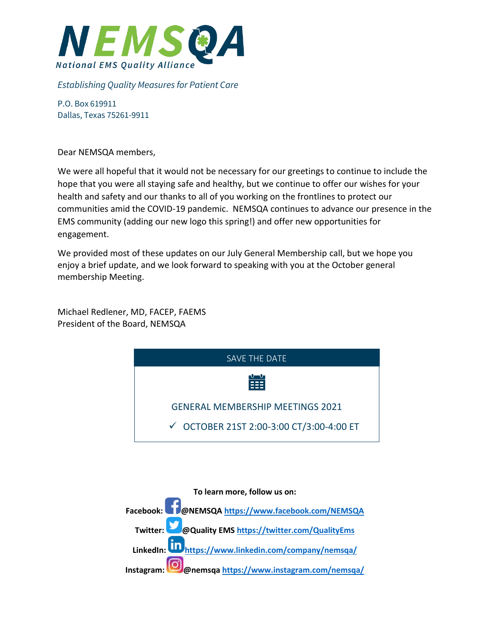

## *Establishing Quality Measures for Patient Care*

P.O. Box 619911 Dallas, Texas 75261-9911

Dear NEMSQA members,

We were all hopeful that it would not be necessary for our greetings to continue to include the hope that you were all staying safe and healthy, but we continue to offer our wishes for your health and safety and our thanks to all of you working on the frontlines to protect our communities amid the COVID-19 pandemic. NEMSQA continues to advance our presence in the EMS community (adding our new logo this spring!) and offer new opportunities for engagement.

We provided most of these updates on our July General Membership call, but we hope you enjoy a brief update, and we look forward to speaking with you at the October general membership Meeting.

Michael Redlener, MD, FACEP, FAEMS President of the Board, NEMSQA



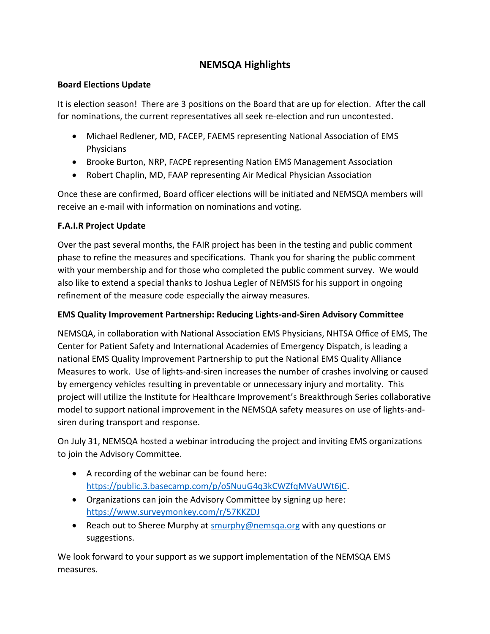# **NEMSQA Highlights**

## **Board Elections Update**

It is election season! There are 3 positions on the Board that are up for election. After the call for nominations, the current representatives all seek re-election and run uncontested.

- Michael Redlener, MD, FACEP, FAEMS representing National Association of EMS Physicians
- Brooke Burton, NRP, FACPE representing Nation EMS Management Association
- Robert Chaplin, MD, FAAP representing Air Medical Physician Association

Once these are confirmed, Board officer elections will be initiated and NEMSQA members will receive an e-mail with information on nominations and voting.

# **F.A.I.R Project Update**

Over the past several months, the FAIR project has been in the testing and public comment phase to refine the measures and specifications. Thank you for sharing the public comment with your membership and for those who completed the public comment survey. We would also like to extend a special thanks to Joshua Legler of NEMSIS for his support in ongoing refinement of the measure code especially the airway measures.

# **EMS Quality Improvement Partnership: Reducing Lights-and-Siren Advisory Committee**

NEMSQA, in collaboration with National Association EMS Physicians, NHTSA Office of EMS, The Center for Patient Safety and International Academies of Emergency Dispatch, is leading a national EMS Quality Improvement Partnership to put the National EMS Quality Alliance Measures to work. Use of lights-and-siren increases the number of crashes involving or caused by emergency vehicles resulting in preventable or unnecessary injury and mortality. This project will utilize the Institute for Healthcare Improvement's Breakthrough Series collaborative model to support national improvement in the NEMSQA safety measures on use of lights-andsiren during transport and response.

On July 31, NEMSQA hosted a webinar introducing the project and inviting EMS organizations to join the Advisory Committee.

- A recording of the webinar can be found here: [https://public.3.basecamp.com/p/oSNuuG4q3kCWZfqMVaUWt6jC.](https://public.3.basecamp.com/p/oSNuuG4q3kCWZfqMVaUWt6jC)
- Organizations can join the Advisory Committee by signing up here: <https://www.surveymonkey.com/r/57KKZDJ>
- Reach out to Sheree Murphy at smurphy@nemsga.org with any questions or suggestions.

We look forward to your support as we support implementation of the NEMSQA EMS measures.